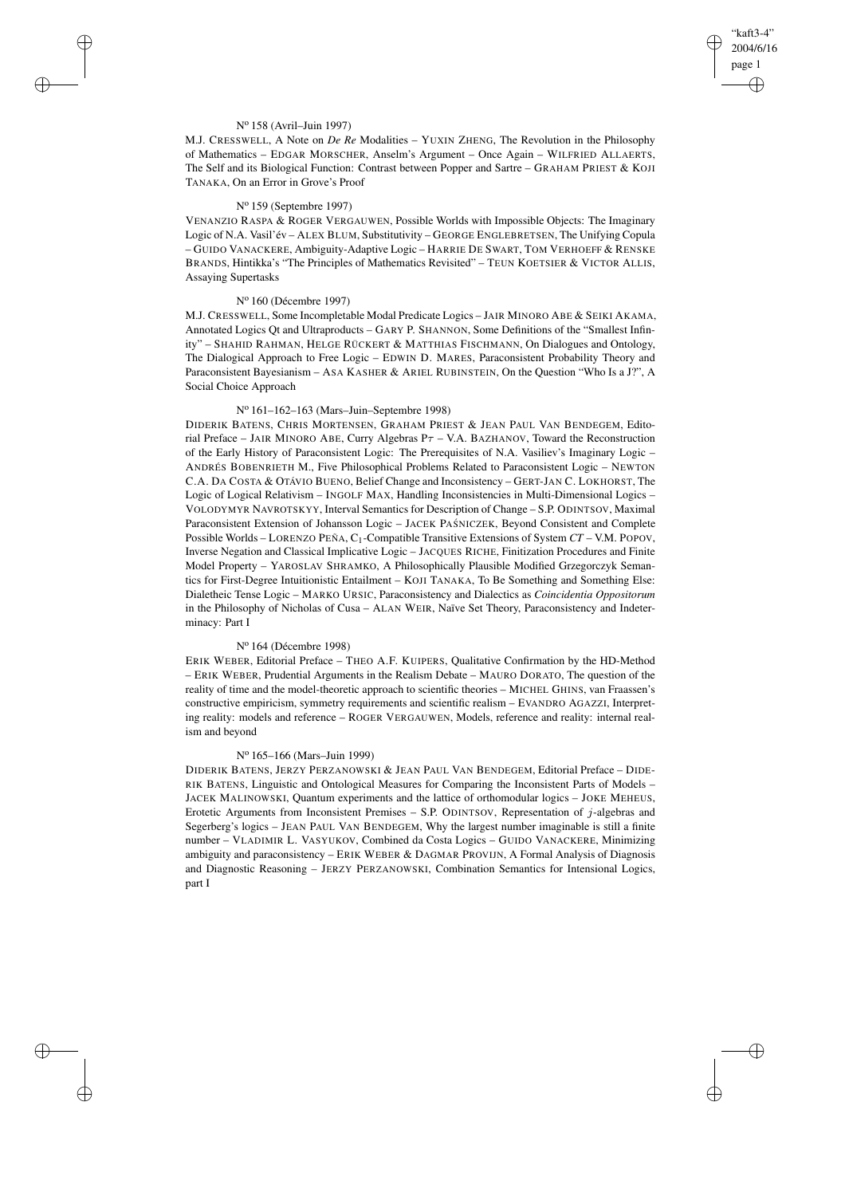✐

✐

### N<sup>o</sup> 158 (Avril–Juin 1997)

 $\rightarrow$ 

 $\rightarrow$ 

✐

✐

M.J. CRESSWELL, A Note on *De Re* Modalities – YUXIN ZHENG, The Revolution in the Philosophy of Mathematics – EDGAR MORSCHER, Anselm's Argument – Once Again – WILFRIED ALLAERTS, The Self and its Biological Function: Contrast between Popper and Sartre – GRAHAM PRIEST & KOJI TANAKA, On an Error in Grove's Proof

# N<sup>o</sup> 159 (Septembre 1997)

VENANZIO RASPA & ROGER VERGAUWEN, Possible Worlds with Impossible Objects: The Imaginary Logic of N.A. Vasil'év – ALEX BLUM, Substitutivity – GEORGE ENGLEBRETSEN, The Unifying Copula – GUIDO VANACKERE, Ambiguity-Adaptive Logic – HARRIE DE SWART, TOM VERHOEFF & RENSKE BRANDS, Hintikka's "The Principles of Mathematics Revisited" – TEUN KOETSIER & VICTOR ALLIS, Assaying Supertasks

## N<sup>o</sup> 160 (Décembre 1997)

M.J. CRESSWELL, Some Incompletable Modal Predicate Logics – JAIR MINORO ABE & SEIKI AKAMA, Annotated Logics Qt and Ultraproducts – GARY P. SHANNON, Some Definitions of the "Smallest Infinity" – SHAHID RAHMAN, HELGE RÜCKERT & MATTHIAS FISCHMANN, On Dialogues and Ontology, The Dialogical Approach to Free Logic – EDWIN D. MARES, Paraconsistent Probability Theory and Paraconsistent Bayesianism – ASA KASHER & ARIEL RUBINSTEIN, On the Question "Who Is a J?", A Social Choice Approach

## N<sup>o</sup> 161–162–163 (Mars–Juin–Septembre 1998)

DIDERIK BATENS, CHRIS MORTENSEN, GRAHAM PRIEST & JEAN PAUL VAN BENDEGEM, Editorial Preface – JAIR MINORO ABE, Curry Algebras  $P\tau$  – V.A. BAZHANOV, Toward the Reconstruction of the Early History of Paraconsistent Logic: The Prerequisites of N.A. Vasiliev's Imaginary Logic – ANDRÉS BOBENRIETH M., Five Philosophical Problems Related to Paraconsistent Logic – NEWTON C.A. DA COSTA & OTÁVIO BUENO, Belief Change and Inconsistency – GERT-JAN C. LOKHORST, The Logic of Logical Relativism – INGOLF MAX, Handling Inconsistencies in Multi-Dimensional Logics – VOLODYMYR NAVROTSKYY, Interval Semantics for Description of Change – S.P. ODINTSOV, Maximal Paraconsistent Extension of Johansson Logic - JACEK PAŚNICZEK, Beyond Consistent and Complete Possible Worlds – LORENZO PEÑA, C1-Compatible Transitive Extensions of System *CT* – V.M. POPOV, Inverse Negation and Classical Implicative Logic – JACQUES RICHE, Finitization Procedures and Finite Model Property – YAROSLAV SHRAMKO, A Philosophically Plausible Modified Grzegorczyk Semantics for First-Degree Intuitionistic Entailment – KOJI TANAKA, To Be Something and Something Else: Dialetheic Tense Logic – MARKO URSIC, Paraconsistency and Dialectics as *Coincidentia Oppositorum* in the Philosophy of Nicholas of Cusa – ALAN WEIR, Naïve Set Theory, Paraconsistency and Indeterminacy: Part I

### N<sup>o</sup> 164 (Décembre 1998)

ERIK WEBER, Editorial Preface – THEO A.F. KUIPERS, Qualitative Confirmation by the HD-Method – ERIK WEBER, Prudential Arguments in the Realism Debate – MAURO DORATO, The question of the reality of time and the model-theoretic approach to scientific theories – MICHEL GHINS, van Fraassen's constructive empiricism, symmetry requirements and scientific realism – EVANDRO AGAZZI, Interpreting reality: models and reference – ROGER VERGAUWEN, Models, reference and reality: internal realism and beyond

## N<sup>o</sup> 165–166 (Mars–Juin 1999)

DIDERIK BATENS, JERZY PERZANOWSKI & JEAN PAUL VAN BENDEGEM, Editorial Preface – DIDE-RIK BATENS, Linguistic and Ontological Measures for Comparing the Inconsistent Parts of Models – JACEK MALINOWSKI, Quantum experiments and the lattice of orthomodular logics – JOKE MEHEUS, Erotetic Arguments from Inconsistent Premises – S.P. ODINTSOV, Representation of j-algebras and Segerberg's logics – JEAN PAUL VAN BENDEGEM, Why the largest number imaginable is still a finite number – VLADIMIR L. VASYUKOV, Combined da Costa Logics – GUIDO VANACKERE, Minimizing ambiguity and paraconsistency – ERIK WEBER & DAGMAR PROVIJN, A Formal Analysis of Diagnosis and Diagnostic Reasoning – JERZY PERZANOWSKI, Combination Semantics for Intensional Logics, part I